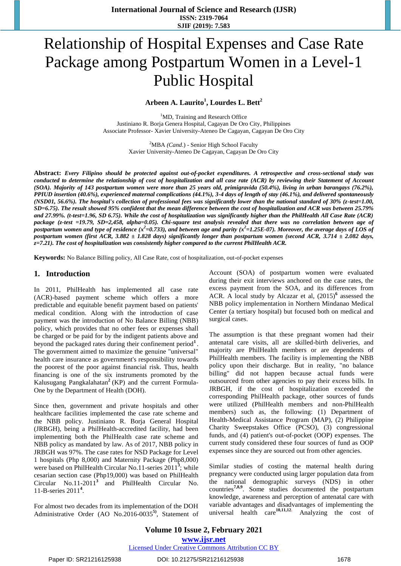# Relationship of Hospital Expenses and Case Rate Package among Postpartum Women in a Level-1 Public Hospital

**Arbeen A. Laurito<sup>1</sup> , Lourdes L. Bett<sup>2</sup>**

<sup>1</sup>MD, Training and Research Office Justiniano R. Borja Genera Hospital, Cagayan De Oro City, Philippines Associate Professor- Xavier University-Ateneo De Cagayan, Cagayan De Oro City

> <sup>2</sup>MBA *(Cand.)* - Senior High School Faculty Xavier University-Ateneo De Cagayan, Cagayan De Oro City

**Abstract:** *Every Filipino should be protected against out-of-pocket expenditures. A retrospective and cross-sectional study was conducted to determine the relationship of cost of hospitalization and all case rate (ACR) by reviewing their Statement of Account (SOA). Majority of 143 postpartum women were more than 25 years old, primigravida (50.4%), living in urban barangays (76.2%), PPIUD insertion (40.6%), experienced maternal complications (44.1%), 3-4 days of length of stay (46.1%), and delivered spontaneously (NSD01, 56.6%). The hospital's collection of professional fees was significantly lower than the national standard of 30% (z-test=1.00, SD=6.75). The result showed 95% confident that the mean difference between the cost of hospitalization and ACR was between 25.79% and 27.99%. (t-test=1.96, SD 6.75). While the cost of hospitalization was significantly higher than the PhilHealth All Case Rate (ACR) package (z-test =19.79, SD=2,458, alpha=0.05). Chi-square test analysis revealed that there was no correlation between age of postpartum women and type of residence (x<sup>2</sup>=0.733), and between age and parity (x<sup>2</sup>=1.25E-07). Moreover, the average days of LOS of postpartum women (first ACR, 3.882 ± 1.828 days) significantly longer than postpartum women (second ACR, 3.714 ± 2.082 days, z=7.21). The cost of hospitalization was consistently higher compared to the current PhilHealth ACR.*

**Keywords:** No Balance Billing policy, All Case Rate, cost of hospitalization, out-of-pocket expenses

## **1. Introduction**

In 2011, PhilHealth has implemented all case rate (ACR)-based payment scheme which offers a more predictable and equitable benefit payment based on patients' medical condition. Along with the introduction of case payment was the introduction of No Balance Billing (NBB) policy, which provides that no other fees or expenses shall be charged or be paid for by the indigent patients above and beyond the packaged rates during their confinement period**<sup>1</sup>** . The government aimed to maximize the genuine "universal" health care insurance as government's responsibility towards the poorest of the poor against financial risk. Thus, health financing is one of the six instruments promoted by the Kalusugang Pangkalahatan<sup>2</sup> (KP) and the current Formula-One by the Department of Health (DOH).

Since then, government and private hospitals and other healthcare facilities implemented the case rate scheme and the NBB policy. Justiniano R. Borja General Hospital (JRBGH), being a PhilHealth-accredited facility, had been implementing both the PhilHealth case rate scheme and NBB policy as mandated by law. As of 2017, NBB policy in JRBGH was 97%. The case rates for NSD Package for Level 1 hospitals (Php 8,000) and Maternity Package (Php8,000) were based on PhilHealth Circular No.11-series 2011<sup>3</sup>; while cesarian section case (Php19,000) was based on PhilHealth Circular No.11-2011**<sup>3</sup>** and PhilHealth Circular No. 11-B-series 2011**<sup>4</sup>** .

For almost two decades from its implementation of the DOH Administrative Order (AO No.2016-0035**5)**, Statement of Account (SOA) of postpartum women were evaluated during their exit interviews anchored on the case rates, the excess payment from the SOA, and its differences from ACR. A local study by Alcazar et al, (2015)**<sup>6</sup>** assessed the NBB policy implementation in Northern Mindanao Medical Center (a tertiary hospital) but focused both on medical and surgical cases.

The assumption is that these pregnant women had their antenatal care visits, all are skilled-birth deliveries, and majority are PhilHealth members or are dependents of PhilHealth members. The facility is implementing the NBB policy upon their discharge. But in reality, "no balance billing" did not happen because actual funds were outsourced from other agencies to pay their excess bills. In JRBGH, if the cost of hospitalization exceeded the corresponding PhilHealth package, other sources of funds were utilized (PhilHealth members and non-PhilHealth members) such as, the following: (1) Department of Health-Medical Assistance Program (MAP), (2) Philippine Charity Sweepstakes Office (PCSO), (3) congressional funds, and (4) patient's out-of-pocket (OOP) expenses. The current study considered these four sources of fund as OOP expenses since they are sourced out from other agencies.

Similar studies of costing the maternal health during pregnancy were conducted using larger population data from the national demographic surveys (NDS) in other countries**7,8,9**. Some studies documented the postpartum knowledge, awareness and perception of antenatal care with variable advantages and disadvantages of implementing the universal health care<sup>10,11,12</sup>. Analyzing the cost of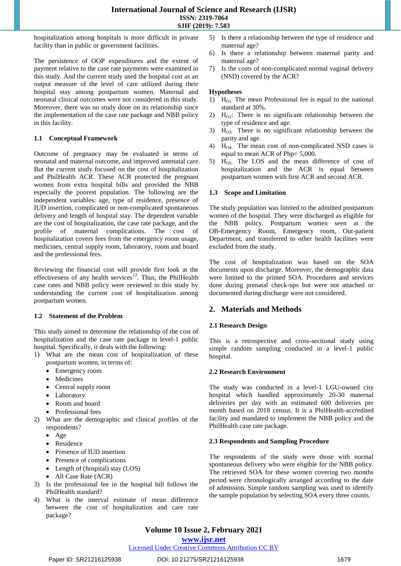hospitalization among hospitals is more difficult in private facility than in public or government facilities.

The persistence of OOP expenditures and the extent of payment relative to the case rate payments were examined in this study. And the current study used the hospital cost as an output measure of the level of care utilized during their hospital stay among postpartum women. Maternal and neonatal clinical outcomes were not considered in this study. Moreover, there was no study done on its relationship since the implementation of the case rate package and NBB policy in this facility.

## **1.1 Conceptual Framework**

Outcome of pregnancy may be evaluated in terms of neonatal and maternal outcome, and improved antenatal care. But the current study focused on the cost of hospitalization and PhilHealth ACR. These ACR protected the pregnant women from extra hospital bills and provided the NBB especially the poorest population. The following are the independent variables: age, type of residence, presence of IUD insertion, complicated or non-complicated spontaneous delivery and length of hospital stay. The dependent variable are the cost of hospitalization, the case rate package, and the profile of maternal complications. The cost of hospitalization covers fees from the emergency room usage, medicines, central supply room, laboratory, room and board and the professional fees.

Reviewing the financial cost will provide first look at the effectiveness of any health services<sup>13</sup>. Thus, the PhilHealth case rates and NBB policy were reviewed in this study by understanding the current cost of hospitalization among postpartum women.

## **1.2 Statement of the Problem**

This study aimed to determine the relationship of the cost of hospitalization and the case rate package in level-1 public hospital. Specifically, it deals with the following:

- 1) What are the mean cost of hospitalization of these postpartum women, in terms of:
	- Emergency room
	- Medicines
	- Central supply room
	- Laboratory
	- Room and board
	- Professional fees
- 2) What are the demographic and clinical profiles of the respondents?
	- Age
	- Residence
	- Presence of IUD insertion
	- Presence of complications
	- Length of (hospital) stay (LOS)
	- All Case Rate (ACR)
- 3) Is the professional fee in the hospital bill follows the PhilHealth standard?
- 4) What is the interval estimate of mean difference between the cost of hospitalization and care rate package?
- 5) Is there a relationship between the type of residence and maternal age?
- 6) Is there a relationship between maternal parity and maternal age?
- 7) Is the costs of non-complicated normal vaginal delivery (NSD) covered by the ACR?

#### **Hypotheses**

- 1)  $H<sub>01</sub>$ : The mean Professional fee is equal to the national standard at 30%.
- 2)  $H_{\Omega}$ : There is no significant relationship between the type of residence and age.
- 3)  $H<sub>03</sub>$ : There is no significant relationship between the parity and age.
- 4)  $H_{O4}$ : The mean cost of non-complicated NSD cases is equal to mean ACR of Php= 5,000.
- 5)  $H<sub>OS</sub>$ : The LOS and the mean difference of cost of hospitalization and the ACR is equal between postpartum women with first ACR and second ACR.

#### **1.3 Scope and Limitation**

The study population was limited to the admitted postpartum women of the hospital. They were discharged as eligible for the NBB policy. Postpartum women seen at the OB-Emergency Room, Emergency room, Out-patient Department, and transferred to other health facilities were excluded from the study.

The cost of hospitalization was based on the SOA documents upon discharge. Moreover, the demographic data were limited to the printed SOA. Procedures and services done during prenatal check-ups but were not attached or documented during discharge were not considered.

## **2. Materials and Methods**

## **2.1 Research Design**

This is a retrospective and cross-sectional study using simple random sampling conducted in a level-1 public hospital.

#### **2.2 Research Environment**

The study was conducted in a level-1 LGU-owned city hospital which handled approximately 20-30 maternal deliveries per day with an estimated 600 deliveries per month based on 2018 census. It is a PhilHealth-accredited facility and mandated to implement the NBB policy and the PhilHealth case rate package.

#### **2.3 Respondents and Sampling Procedure**

The respondents of the study were those with normal spontaneous delivery who were eligible for the NBB policy. The retrieved SOA for these women covering two months period were chronologically arranged according to the date of admission. Simple random sampling was used to identify the sample population by selecting SOA every three counts.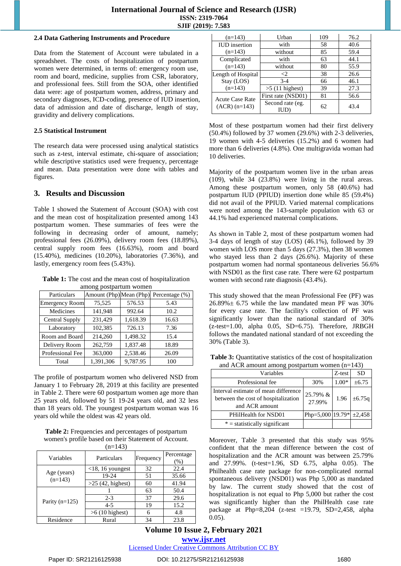#### **2.4 Data Gathering Instruments and Procedure**

Data from the Statement of Account were tabulated in a spreadsheet. The costs of hospitalization of postpartum women were determined, in terms of: emergency room use, room and board, medicine, supplies from CSR, laboratory, and professional fees. Still from the SOA, other identified data were: age of postpartum women, address, primary and secondary diagnoses, ICD-coding, presence of IUD insertion, data of admission and date of discharge, length of stay, gravidity and delivery complications.

## **2.5 Statistical Instrument**

The research data were processed using analytical statistics such as z-test, interval estimate, chi-square of association; while descriptive statistics used were frequency, percentage and mean. Data presentation were done with tables and figures.

# **3. Results and Discussion**

Table 1 showed the Statement of Account (SOA) with cost and the mean cost of hospitalization presented among 143 postpartum women. These summaries of fees were the following in decreasing order of amount, namely; professional fees (26.09%), delivery room fees (18.89%), central supply room fees (16.63%), room and board (15.40%), medicines (10.20%), laboratories (7.36%), and lastly, emergency room fees (5.43%).

**Table 1:** The cost and the mean cost of hospitalization among postpartum women

| Particulars           | 01        |          | Amount (Php) Mean (Php) Percentage (%) |
|-----------------------|-----------|----------|----------------------------------------|
| <b>Emergency Room</b> | 75,525    | 576.53   | 5.43                                   |
| Medicines             | 141,948   | 992.64   | 10.2                                   |
| Central Supply        | 231,429   | 1,618.39 | 16.63                                  |
| Laboratory            | 102,385   | 726.13   | 7.36                                   |
| Room and Board        | 214,260   | 1.498.32 | 15.4                                   |
| Delivery Room         | 262,759   | 1,837.48 | 18.89                                  |
| Professional Fee      | 363,000   | 2,538.46 | 26.09                                  |
| Total                 | 1,391,306 | 9,787.95 | 100                                    |

The profile of postpartum women who delivered NSD from January 1 to February 28, 2019 at this facility are presented in Table 2. There were 60 postpartum women age more than 25 years old, followed by 51 19-24 years old, and 32 less than 18 years old. The youngest postpartum woman was 16 years old while the oldest was 42 years old.

**Table 2:** Frequencies and percentages of postpartum women's profile based on their Statement of Account.  $(n-1/3)$ 

| ,                        |                          |    |                    |  |
|--------------------------|--------------------------|----|--------------------|--|
| Variables                | Particulars<br>Frequency |    | Percentage<br>(% ) |  |
| Age (years)<br>$(n=143)$ | $<$ 18, 16 youngest      | 32 | 22.4               |  |
|                          | 19-24                    | 51 | 35.66              |  |
|                          | $>25$ (42, highest)      | 60 | 41.94              |  |
|                          |                          | 63 | 50.4               |  |
| Parity $(n=125)$         | $2 - 3$                  | 37 | 29.6               |  |
|                          | $4 - 5$                  | 19 | 15.2               |  |
|                          | $>6$ (10 highest)        |    | 4.8                |  |
| Residence                | Rural                    | 34 | 23.8               |  |

| $(n=143)$              | Urban                    | 109 | 76.2 |
|------------------------|--------------------------|-----|------|
| <b>IUD</b> insertion   | with                     | 58  | 40.6 |
| $(n=143)$              | without                  | 85  | 59.4 |
| Complicated            | with                     | 63  | 44.1 |
| $(n=143)$              | without                  | 80  | 55.9 |
| Length of Hospital     | $\leq$ 2                 | 38  | 26.6 |
| Stay (LOS)             | $3-4$                    | 66  | 46.1 |
| $(n=143)$              | $>5$ (11 highest)        | 39  | 27.3 |
| <b>Acute Case Rate</b> | First rate (NSD01)       | 81  | 56.6 |
| $(ACR)$ $(n=143)$      | Second rate (eg.<br>IUD) | 62  | 43.4 |

Most of these postpartum women had their first delivery (50.4%) followed by 37 women (29.6%) with 2-3 deliveries, 19 women with 4-5 deliveries (15.2%) and 6 women had more than 6 deliveries (4.8%). One multigravida woman had 10 deliveries.

Majority of the postpartum women live in the urban areas (109), while 34 (23.8%) were living in the rural areas. Among these postpartum women, only 58 (40.6%) had postpartum IUD (PPIUD) insertion done while 85 (59.4%) did not avail of the PPIUD. Varied maternal complications were noted among the 143-sample population with 63 or 44.1% had experienced maternal complications.

As shown in Table 2, most of these postpartum women had 3-4 days of length of stay (LOS) (46.1%), followed by 39 women with LOS more than 5 days (27.3%), then 38 women who stayed less than 2 days (26.6%). Majority of these postpartum women had normal spontaneous deliveries 56.6% with NSD01 as the first case rate. There were 62 postpartum women with second rate diagnosis (43.4%).

This study showed that the mean Professional Fee (PF) was  $26.89\% \pm 6.75$  while the law mandated mean PF was 30% for every case rate. The facility's collection of PF was significantly lower than the national standard of 30%  $(z-test=1.00, alpha 0.05, SD=6.75)$ . Therefore, JRBGH follows the mandated national standard of not exceeding the 30% (Table 3).

| $\frac{1}{2}$                                                                                 |                                |         |             |
|-----------------------------------------------------------------------------------------------|--------------------------------|---------|-------------|
| Variables                                                                                     |                                | Z-test  | <b>SD</b>   |
| Professional fee                                                                              | 30%                            | $1.00*$ | ±6.75       |
| Interval estimate of mean difference<br>between the cost of hospitalization<br>and ACR amount | 25.79% &<br>27.99%             | 1.96    | $\pm 6.75q$ |
| PHilHealth for NSD01                                                                          | Php=5,000   19.79* $\pm 2,458$ |         |             |
| $* =$ statistically significant                                                               |                                |         |             |

**Table 3:** Ouantitative statistics of the cost of hospitalization and  $\angle ACR$  amount among postpartum women  $(n=143)$ 

Moreover, Table 3 presented that this study was 95% confident that the mean difference between the cost of hospitalization and the ACR amount was between 25.79% and 27.99%. (t-test=1.96, SD 6.75, alpha 0.05). The Philhealth case rate package for non-complicated normal spontaneous delivery (NSD01) was Php 5,000 as mandated by law. The current study showed that the cost of hospitalization is not equal to Php 5,000 but rather the cost was significantly higher than the PhilHealth case rate package at Php=8,204 (z-test =19.79, SD=2,458, alpha  $0.05$ ).

# **Volume 10 Issue 2, February 2021 www.ijsr.net**

Licensed Under Creative Commons Attribution CC BY